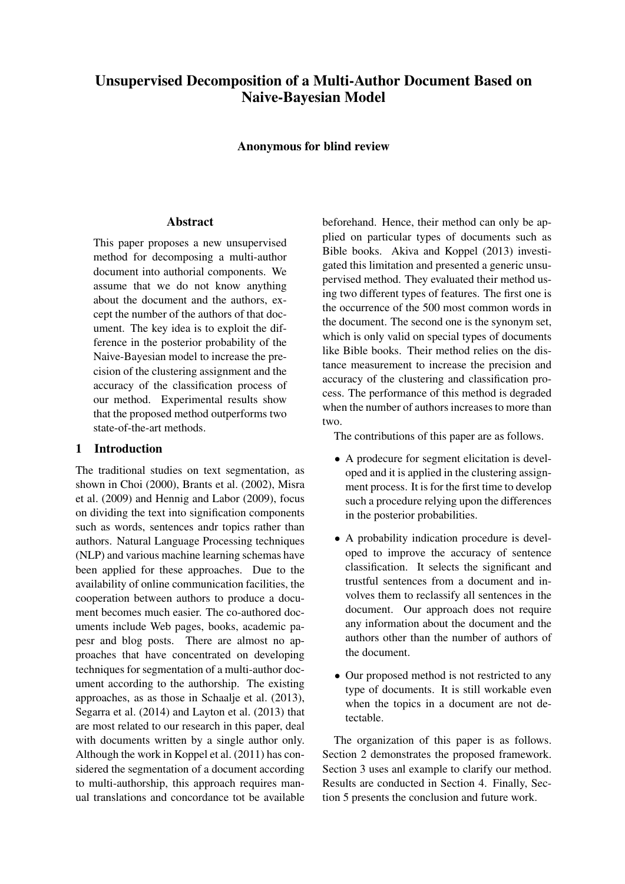# Unsupervised Decomposition of a Multi-Author Document Based on Naive-Bayesian Model

Anonymous for blind review

# **Abstract**

This paper proposes a new unsupervised method for decomposing a multi-author document into authorial components. We assume that we do not know anything about the document and the authors, except the number of the authors of that document. The key idea is to exploit the difference in the posterior probability of the Naive-Bayesian model to increase the precision of the clustering assignment and the accuracy of the classification process of our method. Experimental results show that the proposed method outperforms two state-of-the-art methods.

# 1 Introduction

The traditional studies on text segmentation, as shown in Choi (2000), Brants et al. (2002), Misra et al. (2009) and Hennig and Labor (2009), focus on dividing the text into signification components such as words, sentences andr topics rather than authors. Natural Language Processing techniques (NLP) and various machine learning schemas have been applied for these approaches. Due to the availability of online communication facilities, the cooperation between authors to produce a document becomes much easier. The co-authored documents include Web pages, books, academic papesr and blog posts. There are almost no approaches that have concentrated on developing techniques for segmentation of a multi-author document according to the authorship. The existing approaches, as as those in Schaalje et al. (2013), Segarra et al. (2014) and Layton et al. (2013) that are most related to our research in this paper, deal with documents written by a single author only. Although the work in Koppel et al. (2011) has considered the segmentation of a document according to multi-authorship, this approach requires manual translations and concordance tot be available beforehand. Hence, their method can only be applied on particular types of documents such as Bible books. Akiva and Koppel (2013) investigated this limitation and presented a generic unsupervised method. They evaluated their method using two different types of features. The first one is the occurrence of the 500 most common words in the document. The second one is the synonym set, which is only valid on special types of documents like Bible books. Their method relies on the distance measurement to increase the precision and accuracy of the clustering and classification process. The performance of this method is degraded when the number of authors increases to more than two.

The contributions of this paper are as follows.

- A prodecure for segment elicitation is developed and it is applied in the clustering assignment process. It is for the first time to develop such a procedure relying upon the differences in the posterior probabilities.
- A probability indication procedure is developed to improve the accuracy of sentence classification. It selects the significant and trustful sentences from a document and involves them to reclassify all sentences in the document. Our approach does not require any information about the document and the authors other than the number of authors of the document.
- Our proposed method is not restricted to any type of documents. It is still workable even when the topics in a document are not detectable.

The organization of this paper is as follows. Section 2 demonstrates the proposed framework. Section 3 uses anl example to clarify our method. Results are conducted in Section 4. Finally, Section 5 presents the conclusion and future work.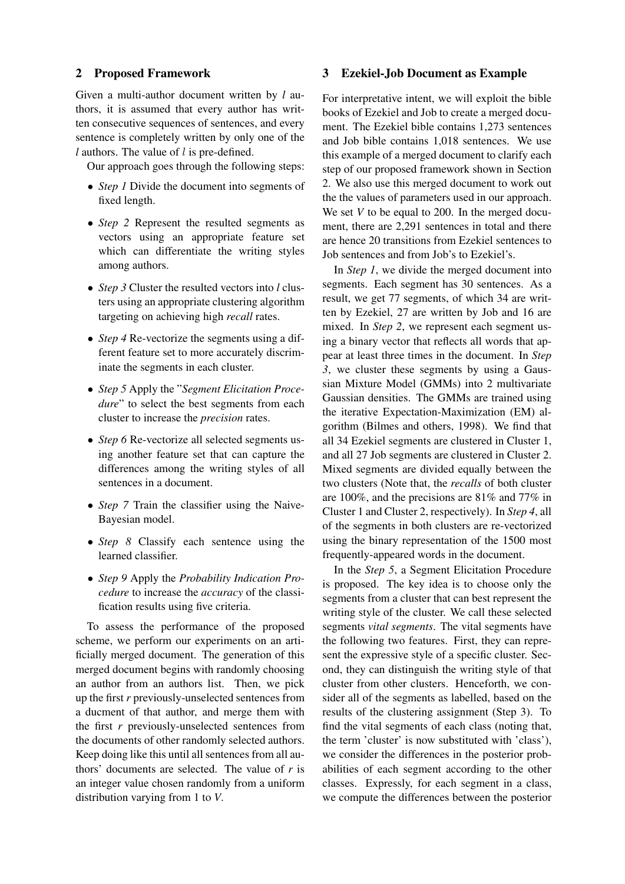## 2 Proposed Framework

Given a multi-author document written by *l* authors, it is assumed that every author has written consecutive sequences of sentences, and every sentence is completely written by only one of the *l* authors. The value of *l* is pre-defined.

Our approach goes through the following steps:

- *Step 1* Divide the document into segments of fixed length.
- *Step 2* Represent the resulted segments as vectors using an appropriate feature set which can differentiate the writing styles among authors.
- *Step 3* Cluster the resulted vectors into *l* clusters using an appropriate clustering algorithm targeting on achieving high *recall* rates.
- *Step 4* Re-vectorize the segments using a different feature set to more accurately discriminate the segments in each cluster.
- *Step 5* Apply the "*Segment Elicitation Procedure*" to select the best segments from each cluster to increase the *precision* rates.
- *Step 6* Re-vectorize all selected segments using another feature set that can capture the differences among the writing styles of all sentences in a document.
- *Step 7* Train the classifier using the Naive-Bayesian model.
- *Step 8* Classify each sentence using the learned classifier.
- *Step 9* Apply the *Probability Indication Procedure* to increase the *accuracy* of the classification results using five criteria.

To assess the performance of the proposed scheme, we perform our experiments on an artificially merged document. The generation of this merged document begins with randomly choosing an author from an authors list. Then, we pick up the first *r* previously-unselected sentences from a ducment of that author, and merge them with the first *r* previously-unselected sentences from the documents of other randomly selected authors. Keep doing like this until all sentences from all authors' documents are selected. The value of *r* is an integer value chosen randomly from a uniform distribution varying from 1 to *V*.

#### 3 Ezekiel-Job Document as Example

For interpretative intent, we will exploit the bible books of Ezekiel and Job to create a merged document. The Ezekiel bible contains 1,273 sentences and Job bible contains 1,018 sentences. We use this example of a merged document to clarify each step of our proposed framework shown in Section 2. We also use this merged document to work out the the values of parameters used in our approach. We set *V* to be equal to 200. In the merged document, there are 2,291 sentences in total and there are hence 20 transitions from Ezekiel sentences to Job sentences and from Job's to Ezekiel's.

In *Step 1*, we divide the merged document into segments. Each segment has 30 sentences. As a result, we get 77 segments, of which 34 are written by Ezekiel, 27 are written by Job and 16 are mixed. In *Step 2*, we represent each segment using a binary vector that reflects all words that appear at least three times in the document. In *Step 3*, we cluster these segments by using a Gaussian Mixture Model (GMMs) into 2 multivariate Gaussian densities. The GMMs are trained using the iterative Expectation-Maximization (EM) algorithm (Bilmes and others, 1998). We find that all 34 Ezekiel segments are clustered in Cluster 1, and all 27 Job segments are clustered in Cluster 2. Mixed segments are divided equally between the two clusters (Note that, the *recalls* of both cluster are 100%, and the precisions are 81% and 77% in Cluster 1 and Cluster 2, respectively). In *Step 4*, all of the segments in both clusters are re-vectorized using the binary representation of the 1500 most frequently-appeared words in the document.

In the *Step 5*, a Segment Elicitation Procedure is proposed. The key idea is to choose only the segments from a cluster that can best represent the writing style of the cluster. We call these selected segments *vital segments*. The vital segments have the following two features. First, they can represent the expressive style of a specific cluster. Second, they can distinguish the writing style of that cluster from other clusters. Henceforth, we consider all of the segments as labelled, based on the results of the clustering assignment (Step 3). To find the vital segments of each class (noting that, the term 'cluster' is now substituted with 'class'), we consider the differences in the posterior probabilities of each segment according to the other classes. Expressly, for each segment in a class, we compute the differences between the posterior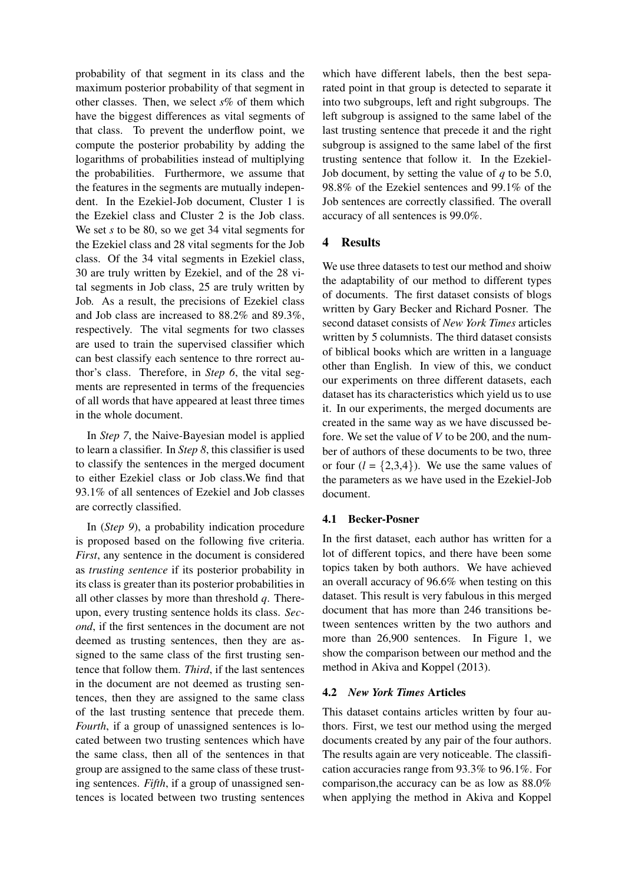probability of that segment in its class and the maximum posterior probability of that segment in other classes. Then, we select *s*% of them which have the biggest differences as vital segments of that class. To prevent the underflow point, we compute the posterior probability by adding the logarithms of probabilities instead of multiplying the probabilities. Furthermore, we assume that the features in the segments are mutually independent. In the Ezekiel-Job document, Cluster 1 is the Ezekiel class and Cluster 2 is the Job class. We set *s* to be 80, so we get 34 vital segments for the Ezekiel class and 28 vital segments for the Job class. Of the 34 vital segments in Ezekiel class, 30 are truly written by Ezekiel, and of the 28 vital segments in Job class, 25 are truly written by Job. As a result, the precisions of Ezekiel class and Job class are increased to 88.2% and 89.3%, respectively. The vital segments for two classes are used to train the supervised classifier which can best classify each sentence to thre rorrect author's class. Therefore, in *Step 6*, the vital segments are represented in terms of the frequencies of all words that have appeared at least three times in the whole document.

In *Step 7*, the Naive-Bayesian model is applied to learn a classifier. In *Step 8*, this classifier is used to classify the sentences in the merged document to either Ezekiel class or Job class.We find that 93.1% of all sentences of Ezekiel and Job classes are correctly classified.

In (*Step 9*), a probability indication procedure is proposed based on the following five criteria. *First*, any sentence in the document is considered as *trusting sentence* if its posterior probability in its class is greater than its posterior probabilities in all other classes by more than threshold *q*. Thereupon, every trusting sentence holds its class. *Second*, if the first sentences in the document are not deemed as trusting sentences, then they are assigned to the same class of the first trusting sentence that follow them. *Third*, if the last sentences in the document are not deemed as trusting sentences, then they are assigned to the same class of the last trusting sentence that precede them. *Fourth*, if a group of unassigned sentences is located between two trusting sentences which have the same class, then all of the sentences in that group are assigned to the same class of these trusting sentences. *Fifth*, if a group of unassigned sentences is located between two trusting sentences

which have different labels, then the best separated point in that group is detected to separate it into two subgroups, left and right subgroups. The left subgroup is assigned to the same label of the last trusting sentence that precede it and the right subgroup is assigned to the same label of the first trusting sentence that follow it. In the Ezekiel-Job document, by setting the value of *q* to be 5.0, 98.8% of the Ezekiel sentences and 99.1% of the Job sentences are correctly classified. The overall accuracy of all sentences is 99.0%.

# 4 Results

We use three datasets to test our method and shoiw the adaptability of our method to different types of documents. The first dataset consists of blogs written by Gary Becker and Richard Posner. The second dataset consists of *New York Times* articles written by 5 columnists. The third dataset consists of biblical books which are written in a language other than English. In view of this, we conduct our experiments on three different datasets, each dataset has its characteristics which yield us to use it. In our experiments, the merged documents are created in the same way as we have discussed before. We set the value of *V* to be 200, and the number of authors of these documents to be two, three or four  $(l = \{2,3,4\})$ . We use the same values of the parameters as we have used in the Ezekiel-Job document.

## 4.1 Becker-Posner

In the first dataset, each author has written for a lot of different topics, and there have been some topics taken by both authors. We have achieved an overall accuracy of 96.6% when testing on this dataset. This result is very fabulous in this merged document that has more than 246 transitions between sentences written by the two authors and more than 26,900 sentences. In Figure 1, we show the comparison between our method and the method in Akiva and Koppel (2013).

#### 4.2 *New York Times* Articles

This dataset contains articles written by four authors. First, we test our method using the merged documents created by any pair of the four authors. The results again are very noticeable. The classification accuracies range from 93.3% to 96.1%. For comparison,the accuracy can be as low as 88.0% when applying the method in Akiva and Koppel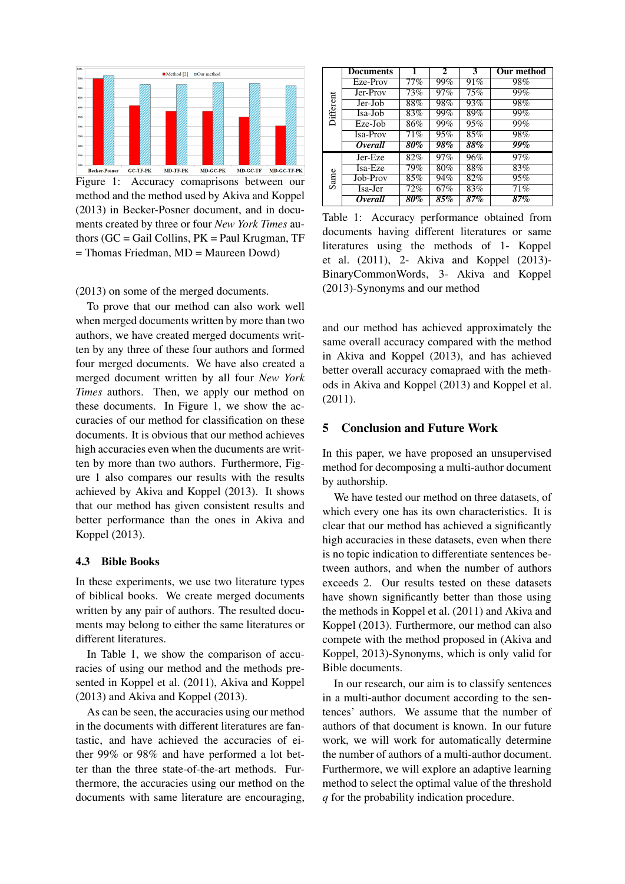

Figure 1: Accuracy comaprisons between our method and the method used by Akiva and Koppel (2013) in Becker-Posner document, and in documents created by three or four *New York Times* authors  $(GC = Gail$  Collins,  $PK = Paul Krugman$ , TF = Thomas Friedman, MD = Maureen Dowd)

(2013) on some of the merged documents.

To prove that our method can also work well when merged documents written by more than two authors, we have created merged documents written by any three of these four authors and formed four merged documents. We have also created a merged document written by all four *New York Times* authors. Then, we apply our method on these documents. In Figure 1, we show the accuracies of our method for classification on these documents. It is obvious that our method achieves high accuracies even when the ducuments are written by more than two authors. Furthermore, Figure 1 also compares our results with the results achieved by Akiva and Koppel (2013). It shows that our method has given consistent results and better performance than the ones in Akiva and Koppel (2013).

#### 4.3 Bible Books

In these experiments, we use two literature types of biblical books. We create merged documents written by any pair of authors. The resulted documents may belong to either the same literatures or different literatures.

In Table 1, we show the comparison of accuracies of using our method and the methods presented in Koppel et al. (2011), Akiva and Koppel (2013) and Akiva and Koppel (2013).

As can be seen, the accuracies using our method in the documents with different literatures are fantastic, and have achieved the accuracies of either 99% or 98% and have performed a lot better than the three state-of-the-art methods. Furthermore, the accuracies using our method on the documents with same literature are encouraging,

| Different | <b>Documents</b>      | 1                 | $\mathbf{2}$ | 3      | Our method |
|-----------|-----------------------|-------------------|--------------|--------|------------|
|           | Eze-Prov              | 77%               | 99%          | 91%    | 98%        |
|           | Jer-Prov              | $\overline{73\%}$ | 97%          | 75%    | 99%        |
|           | Jer-Job               | 88%               | 98%          | 93%    | 98%        |
|           | Isa-Job               | 83%               | $99\%$       | 89%    | 99%        |
|           | Eze-Job               | 86%               | 99%          | 95%    | 99%        |
|           | <b>Isa-Prov</b>       | 71%               | 95%          | $85\%$ | 98%        |
|           | <i>Overall</i>        | $\overline{80\%}$ | 98%          | 88%    | 99%        |
| Sanne     | Jer-Eze               | 82%               | 97%          | 96%    | 97%        |
|           | Isa-Eze               | 79%               | 80%          | 88%    | 83%        |
|           | Job-Prov              | $85\%$            | 94%          | 82%    | 95%        |
|           | Isa-Jer               | $\overline{72\%}$ | 67%          | 83%    | 71%        |
|           | <i><b>Overall</b></i> | $80\%$            | 85%          | 87%    | 87%        |

Table 1: Accuracy performance obtained from documents having different literatures or same literatures using the methods of 1- Koppel et al. (2011), 2- Akiva and Koppel (2013)- BinaryCommonWords, 3- Akiva and Koppel (2013)-Synonyms and our method

and our method has achieved approximately the same overall accuracy compared with the method in Akiva and Koppel (2013), and has achieved better overall accuracy comapraed with the methods in Akiva and Koppel (2013) and Koppel et al. (2011).

# 5 Conclusion and Future Work

In this paper, we have proposed an unsupervised method for decomposing a multi-author document by authorship.

We have tested our method on three datasets, of which every one has its own characteristics. It is clear that our method has achieved a significantly high accuracies in these datasets, even when there is no topic indication to differentiate sentences between authors, and when the number of authors exceeds 2. Our results tested on these datasets have shown significantly better than those using the methods in Koppel et al. (2011) and Akiva and Koppel (2013). Furthermore, our method can also compete with the method proposed in (Akiva and Koppel, 2013)-Synonyms, which is only valid for Bible documents.

In our research, our aim is to classify sentences in a multi-author document according to the sentences' authors. We assume that the number of authors of that document is known. In our future work, we will work for automatically determine the number of authors of a multi-author document. Furthermore, we will explore an adaptive learning method to select the optimal value of the threshold *q* for the probability indication procedure.